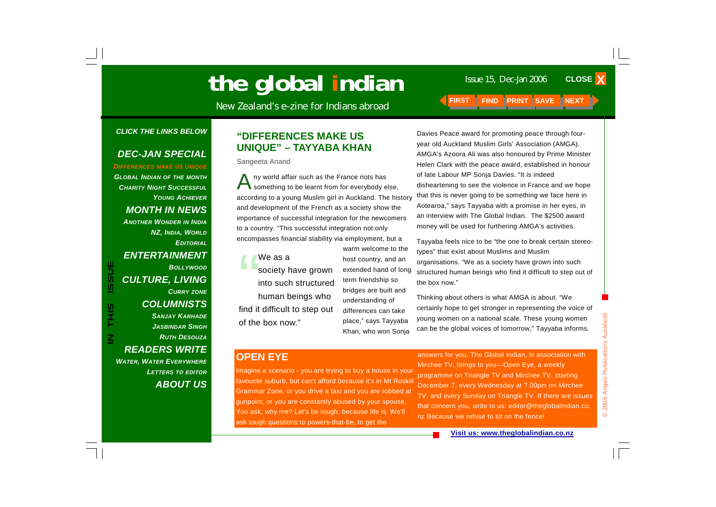# the global indian

New Zealand's e-zine for Indians abroad **FIRST FIND PRINT SAVE** 

#### *CLICK THE LINKS BELOW*

#### *DEC-JAN SPECIAL*

*DIFFERENCES MAKE US UNIQUE*

*GLOBAL INDIAN OF THE MONTH CHARITY NIGHT SUCCESSFULYOUNG ACHIEVERMONTH IN NEWS ANOTHER WONDER IN INDIA NZ, INDIA, WORLD EDITORIALENTERTAINMENT BOLLYWOODCULTURE, LIVING CURRY ZONE COLUMNISTS SANJAY KARHADE JASBINDAR SINGHRUTH DESOUZAREADERS WRITE WATER, WATER EVERYWHERE LETTERS TO EDITOR ABOUT US*

**IN THIS ISSUE**

S<br>HH<br>H

 $\overline{\mathsf{z}}$ 

**ISSUE** 

#### **"DIFFERENCES MAKE US UNIQUE" – TAYYABA KHAN**

Sangeeta Anand

Any world affair such as the France riots has something to be learnt from for everybody else, according to a young Muslim girl in Auckland. The history and development of the French as a society show the importance of successful integration for the newcomers to a country. "This successful integration not only encompasses financial stability via employment, but a

We as a<br>society have grown into such structured human beings who find it difficult to step out of the box now."

warm welcome to the host country, and an extended hand of long term friendship so bridges are built and understanding of differences can take place," says Tayyaba Khan, who won Sonja

Davies Peace award for promoting peace through fouryear old Auckland Muslim Girls' Association (AMGA). AMGA's Azoora Ali was also honoured by Prime Minister Helen Clark with the peace award, established in honour of late Labour MP Sonja Davies. "It is indeed disheartening to see the violence in France and we hope that this is never going to be something we face here in Aotearoa," says Tayyaba with a promise in her eyes, in an interview with The Global Indian. The \$2500 award money will be used for furthering AMGA's activities.

Tayyaba feels nice to be "the one to break certain stereotypes" that exist about Muslims and Muslim organisations. "We as a society have grown into such structured human beings who find it difficult to step out of the box now."

Thinking about others is what AMGA is about. "We certainly hope to get stronger in representing the voice of young women on a national scale. These young women can be the global voices of tomorrow," Tayyaba informs.

#### **OPEN EYE**

Imagine a scenario - you are trying to buy a house in your favourite suburb, but can't afford because it's in Mt Roskill Grammar Zone, or you drive a taxi and you are robbed at gunpoint, or you are constantly abused by your spouse. You ask, why me? Let's be tough, because life is. We'll ask tough questions to powers-that-be, to get the

answers for you. The Global Indian, in association with Mirchee TV, brings to you—Open Eye, a weekly programme on Triangle TV and Mirchee TV, starting December 7, every Wednesday at 7.00pm on Mirchee TV, and every Sunday on Triangle TV. If there are issues that concern you, write to us: editor@theglobalindian.co. nz Because we refuse to sit on the fence!

**CLOSE X**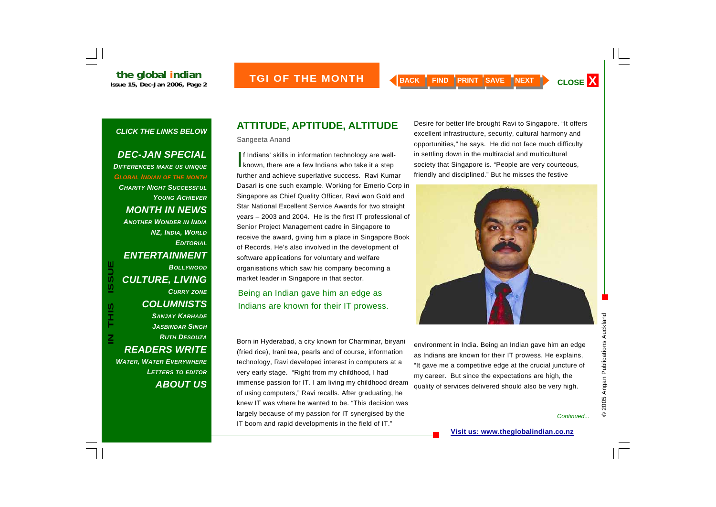#### *DEC-JAN SPECIAL*

*DIFFERENCES MAKE US UNIQUE GLOBAL INDIAN OF THE MONTH CHARITY NIGHT SUCCESSFULYOUNG ACHIEVERMONTH IN NEWS ANOTHER WONDER IN INDIA NZ, INDIA, WORLD EDITORIALENTERTAINMENT BOLLYWOODCULTURE, LIVING CURRY ZONE COLUMNISTS SANJAY KARHADE JASBINDAR SINGHRUTH DESOUZAREADERS WRITE WATER, WATER EVERYWHERE LETTERS TO EDITOR ABOUT US*

**IN THIS ISSUE**

**SIHL** 

 $\overline{\mathsf{z}}$ 

**ISSUE** 

## **ATTITUDE, APTITUDE, ALTITUDE**

Sangeeta Anand

If Indians' skills in information technology are well-<br>
known, there are a few Indians who take it a step further and achieve superlative success. Ravi Kumar Dasari is one such example. Working for Emerio Corp in Singapore as Chief Quality Officer, Ravi won Gold and Star National Excellent Service Awards for two straight years – 2003 and 2004. He is the first IT professional of Senior Project Management cadre in Singapore to receive the award, giving him a place in Singapore Book of Records. He's also involved in the development of software applications for voluntary and welfare organisations which saw his company becoming a market leader in Singapore in that sector.

Being an Indian gave him an edge as Indians are known for their IT prowess.

Born in Hyderabad, a city known for Charminar, biryani (fried rice), Irani tea, pearls and of course, information technology, Ravi developed interest in computers at a very early stage. "Right from my childhood, I had immense passion for IT. I am living my childhood dream of using computers," Ravi recalls. After graduating, he knew IT was where he wanted to be. "This decision was largely because of my passion for IT synergised by the IT boom and rapid developments in the field of IT."

Desire for better life brought Ravi to Singapore. "It offers excellent infrastructure, security, cultural harmony and opportunities," he says. He did not face much difficulty in settling down in the multiracial and multicultural society that Singapore is. "People are very courteous, friendly and disciplined." But he misses the festive



environment in India. Being an Indian gave him an edge as Indians are known for their IT prowess. He explains, "It gave me a competitive edge at the crucial juncture of my career. But since the expectations are high, the quality of services delivered should also be very high.

*Continued...*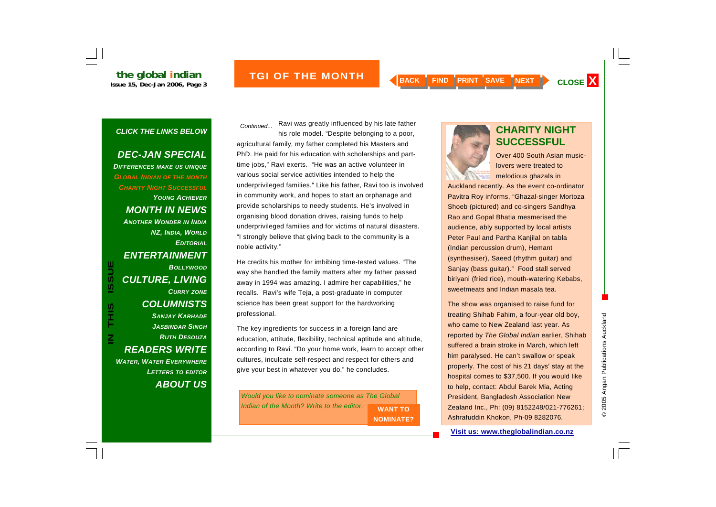## **the global indian**<br>Issue 15, Dec-Jan 2006, Page 3

#### *CLICK THE LINKS BELOW*

## *DEC-JAN SPECIAL*

*DIFFERENCES MAKE US UNIQUE GLOBAL INDIAN OF THE MONTH CHARITY NIGHT SUCCESSFULYOUNG ACHIEVERMONTH IN NEWS ANOTHER WONDER IN INDIA NZ, INDIA, WORLD EDITORIALENTERTAINMENT BOLLYWOODCULTURE, LIVING CURRY ZONE COLUMNISTS SANJAY KARHADE JASBINDAR SINGHRUTH DESOUZAREADERS WRITE WATER, WATER EVERYWHERE LETTERS TO EDITOR ABOUT US*

**IN THIS ISSUE**

S<br>H<br>H<br>H

 $\overline{\mathsf{z}}$ 

**ISSUE** 

Ravi was greatly influenced by his late father – his role model. "Despite belonging to a poor, agricultural family, my father completed his Masters and PhD. He paid for his education with scholarships and parttime jobs," Ravi exerts. "He was an active volunteer in various social service activities intended to help the underprivileged families." Like his father, Ravi too is involved in community work, and hopes to start an orphanage and provide scholarships to needy students. He's involved in organising blood donation drives, raising funds to help underprivileged families and for victims of natural disasters. "I strongly believe that giving back to the community is a noble activity." *Continued...* **Ravi was greatly immuericed by his late lattlet - CHARITY NIGHT** 

He credits his mother for imbibing time-tested values. "The way she handled the family matters after my father passed away in 1994 was amazing. I admire her capabilities," he recalls. Ravi's wife Teja, a post-graduate in computer science has been great support for the hardworking professional.

The key ingredients for success in a foreign land are education, attitude, flexibility, technical aptitude and altitude, according to Ravi. "Do your home work, learn to accept other cultures, inculcate self-respect and respect for others and give your best in whatever you do," he concludes.

*Would you like to nominate someone as The Global Indian of the Month? Write to the editor.* **WANT TO NOMINATE?** 



# **SUCCESSFUL**

Over 400 South Asian musiclovers were treated to melodious ghazals in

Auckland recently. As the event co-ordinator Pavitra Roy informs, "Ghazal-singer Mortoza Shoeb (pictured) and co-singers Sandhya Rao and Gopal Bhatia mesmerised the audience, ably supported by local artists Peter Paul and Partha Kanjilal on tabla (Indian percussion drum), Hemant (synthesiser), Saeed (rhythm guitar) and Sanjay (bass guitar)." Food stall served biriyani (fried rice), mouth-watering Kebabs, sweetmeats and Indian masala tea.

The show was organised to raise fund for treating Shihab Fahim, a four-year old boy, who came to New Zealand last year. As reported by *The Global Indian* earlier, Shihab suffered a brain stroke in March, which left him paralysed. He can't swallow or speak properly. The cost of his 21 days' stay at the hospital comes to \$37,500. If you would like to help, contact: Abdul Barek Mia, Acting President, Bangladesh Association New Zealand Inc., Ph: (09) 8152248/021-776261; Ashrafuddin Khokon, Ph-09 8282076.

**Visit us: www.theglobalindian.co.nz**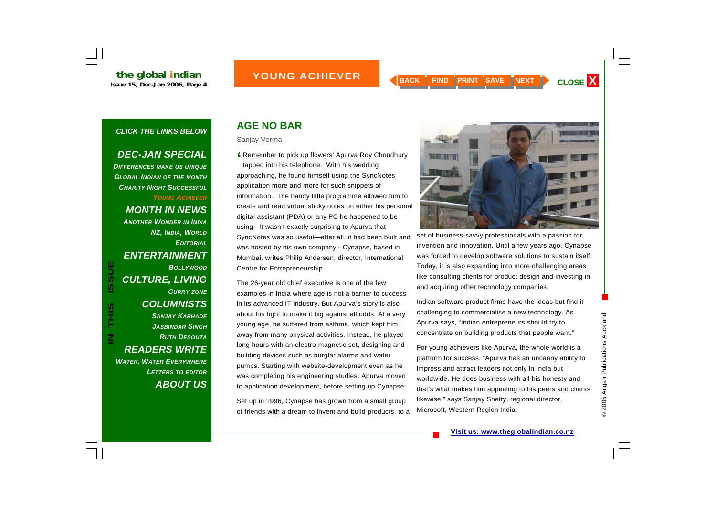## **ISSUE AND A CHIEVER AND A BACK | FIND | PRINT | SAVE | NEXT | CLOSE X**

#### *CLICK THE LINKS BELOW*

#### *DEC-JAN SPECIAL*

*DIFFERENCES MAKE US UNIQUE GLOBAL INDIAN OF THE MONTH CHARITY NIGHT SUCCESSFULYOUNG ACHIEVERMONTH IN NEWS ANOTHER WONDER IN INDIA NZ, INDIA, WORLD EDITORIALENTERTAINMENT BOLLYWOODCULTURE, LIVING CURRY ZONE COLUMNISTS SANJAY KARHADE JASBINDAR SINGHRUTH DESOUZAREADERS WRITE WATER, WATER EVERYWHERE LETTERS TO EDITOR ABOUT US*

**IN THIS ISSUE**

S<br>エココン エコン エコン エコン エコン アルファン アルファン しゅうかん しゅうかん しゅうかん しゅうかん しゅうかん しゅうかん しゅうかん しゅうかん しゅうかん しゅうかん しゅうかん しゅうかん しんけい しゅうかん しんけい しんけい しんけい しんけい しんけい しんけい しんしゅん

 $\overline{\mathsf{z}}$ 

**ISSUE** 

## **AGE NO BAR**

Sanjay Verma

Solution Remember to pick up flowers' Apurva Roy Choudhury<br>tapped into his telephone. With his wedding tapped into his telephone. With his wedding approaching, he found himself using the SyncNotes application more and more for such snippets of information. The handy little programme allowed him to create and read virtual sticky notes on either his personal digital assistant (PDA) or any PC he happened to be using. It wasn't exactly surprising to Apurva that SyncNotes was so useful—after all, it had been built and was hosted by his own company - Cynapse, based in Mumbai, writes Philip Andersen, director, International Centre for Entrepreneurship.

The 26-year old chief executive is one of the few examples in India where age is not a barrier to success in its advanced IT industry. But Apurva's story is also about his fight to make it big against all odds. At a very young age, he suffered from asthma, which kept him away from many physical activities. Instead, he played long hours with an electro-magnetic set, designing and building devices such as burglar alarms and water pumps. Starting with website-development even as he was completing his engineering studies, Apurva moved to application development, before setting up Cynapse.

Set up in 1996, Cynapse has grown from a small group of friends with a dream to invent and build products, to a



set of business-savvy professionals with a passion for invention and innovation. Until a few years ago, Cynapse was forced to develop software solutions to sustain itself. Today, it is also expanding into more challenging areas like consulting clients for product design and investing in and acquiring other technology companies.

Indian software product firms have the ideas but find it challenging to commercialise a new technology. As Apurva says, "Indian entrepreneurs should try to concentrate on building products that people want."

For young achievers like Apurva, the whole world is a platform for success. "Apurva has an uncanny ability to impress and attract leaders not only in India but worldwide. He does business with all his honesty and that's what makes him appealing to his peers and clients likewise," says Sanjay Shetty, regional director, Microsoft, Western Region India.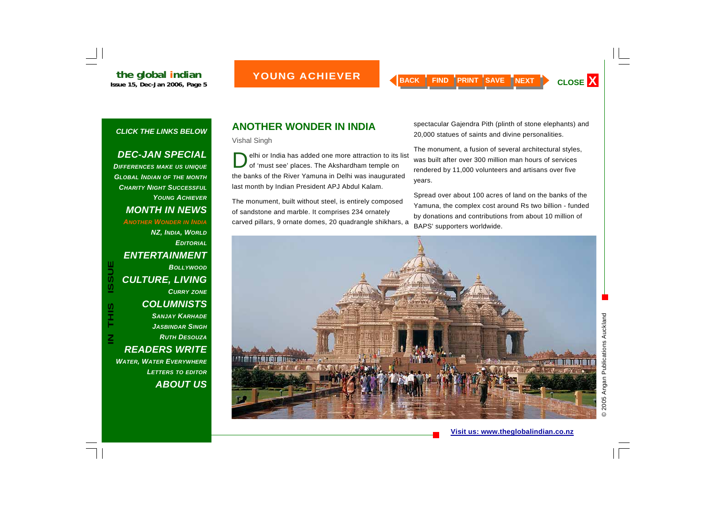### *DEC-JAN SPECIAL*

*DIFFERENCES MAKE US UNIQUE GLOBAL INDIAN OF THE MONTH CHARITY NIGHT SUCCESSFULYOUNG ACHIEVERMONTH IN NEWS ANOTHER WONDER IN INDIA NZ, INDIA, WORLD EDITORIALENTERTAINMENT*  **ISSUE** *BOLLYWOOD CULTURE, LIVING CURRY ZONE COLUMNISTS SANJAY KARHADE JASBINDAR SINGHRUTH DESOUZA*

**IN THIS ISSUE**  $\mathsf{\Xi}% _{M_{1},M_{2}}^{\alpha,\beta}(\varepsilon)=\mathsf{\Xi}_{M_{1},M_{2}}^{\alpha,\beta}(\varepsilon)$ *READERS WRITE WATER, WATER EVERYWHERE LETTERS TO EDITOR ABOUT US*

S<br>T<br>H

## **ANOTHER WONDER IN INDIA**

Vishal Singh

elhi or India has added one more attraction to its list of 'must see' places. The Akshardham temple on the banks of the River Yamuna in Delhi was inaugurated last month by Indian President APJ Abdul Kalam.

The monument, built without steel, is entirely composed of sandstone and marble. It comprises 234 ornately carved pillars, 9 ornate domes, 20 quadrangle shikhars, a spectacular Gajendra Pith (plinth of stone elephants) and 20,000 statues of saints and divine personalities.

The monument, a fusion of several architectural styles, was built after over 300 million man hours of services rendered by 11,000 volunteers and artisans over five years.

Spread over about 100 acres of land on the banks of the Yamuna, the complex cost around Rs two billion - funded by donations and contributions from about 10 million of BAPS' supporters worldwide.

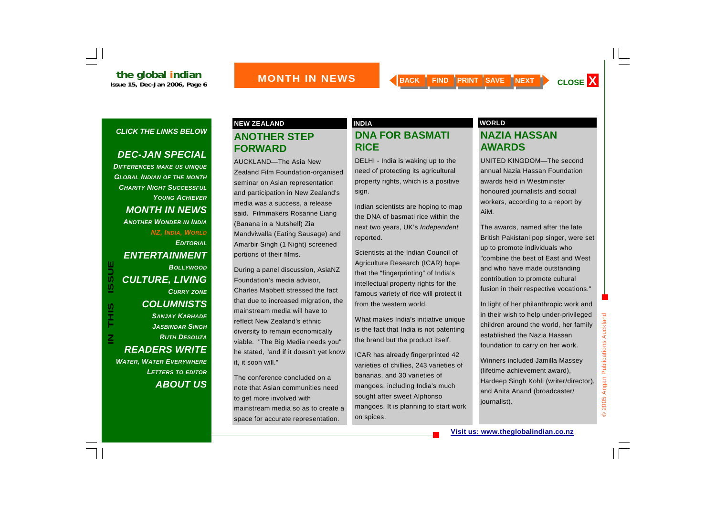### *DEC-JAN SPECIAL*

*DIFFERENCES MAKE US UNIQUE GLOBAL INDIAN OF THE MONTH CHARITY NIGHT SUCCESSFULYOUNG ACHIEVERMONTH IN NEWS ANOTHER WONDER IN INDIA NZ, INDIA, WORLD EDITORIALENTERTAINMENT BOLLYWOODCULTURE, LIVING CURRY ZONE COLUMNISTS SANJAY KARHADE JASBINDAR SINGHRUTH DESOUZAREADERS WRITE WATER, WATER EVERYWHERE LETTERS TO EDITOR ABOUT US*

**IN THIS ISSUE**

S<br>H<br>H<br>H

 $\overline{\mathsf{z}}$ 

**ISSUE** 

## **ANOTHER STEP FORWARD**

AUCKLAND—The Asia New Zealand Film Foundation-organised seminar on Asian representation and participation in New Zealand's media was a success, a release said. Filmmakers Rosanne Liang (Banana in a Nutshell) Zia Mandviwalla (Eating Sausage) and Amarbir Singh (1 Night) screened portions of their films.

During a panel discussion, AsiaNZ Foundation's media advisor, Charles Mabbett stressed the fact that due to increased migration, the mainstream media will have to reflect New Zealand's ethnic diversity to remain economically viable. "The Big Media needs you" he stated, "and if it doesn't yet know it, it soon will."

The conference concluded on a note that Asian communities need to get more involved with mainstream media so as to create a space for accurate representation.

## **DNA FOR BASMATI RICE**

DELHI - India is waking up to the need of protecting its agricultural property rights, which is a positive sign.

Indian scientists are hoping to map the DNA of basmati rice within the next two years, UK's *Independent*  reported.

Scientists at the Indian Council of Agriculture Research (ICAR) hope that the "fingerprinting" of India's intellectual property rights for the famous variety of rice will protect it from the western world.

What makes India's initiative unique is the fact that India is not patenting the brand but the product itself.

ICAR has already fingerprinted 42 varieties of chillies, 243 varieties of bananas, and 30 varieties of mangoes, including India's much sought after sweet Alphonso mangoes. It is planning to start work on spices.

#### **NEW ZEALAND INDIA** INDIA INDIA WORLD

#### **NAZIA HASSAN AWARDS**

UNITED KINGDOM—The second annual Nazia Hassan Foundation awards held in Westminster honoured journalists and social workers, according to a report by AiM.

The awards, named after the late British Pakistani pop singer, were set up to promote individuals who "combine the best of East and West and who have made outstanding contribution to promote cultural fusion in their respective vocations."

In light of her philanthropic work and in their wish to help under-privileged children around the world, her family established the Nazia Hassan foundation to carry on her work.

Winners included Jamilla Massey (lifetime achievement award), Hardeep Singh Kohli (writer/director), and Anita Anand (broadcaster/ journalist).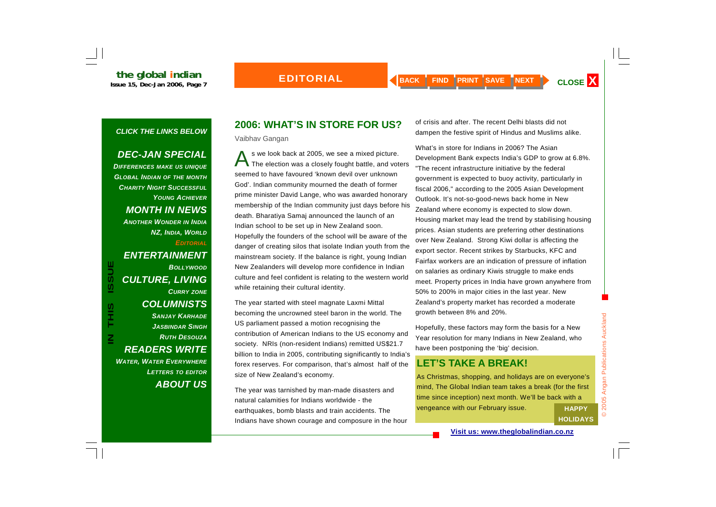## *DEC-JAN SPECIAL*

*DIFFERENCES MAKE US UNIQUE GLOBAL INDIAN OF THE MONTH CHARITY NIGHT SUCCESSFULYOUNG ACHIEVERMONTH IN NEWS ANOTHER WONDER IN INDIA NZ, INDIA, WORLD EDITORIALENTERTAINMENT BOLLYWOODCULTURE, LIVING CURRY ZONE COLUMNISTS SANJAY KARHADE JASBINDAR SINGHRUTH DESOUZAREADERS WRITE WATER, WATER EVERYWHERE LETTERS TO EDITOR ABOUT US*

**IN THIS ISSUE**

S<br>エココン エコン エコン エコン エコン アルファン アルファン しゅうかん しゅうかん しゅうかん しゅうかん しゅうかん しゅうかん しゅうかん しゅうかん しゅうかん しゅうかん しゅうかん しゅうかん しんけい しゅうかん しんけい しんけい しんけい しんけい しんけい しんけい しんしゅん

 $\overline{\mathsf{z}}$ 

**ISSUE** 

## **2006: WHAT'S IN STORE FOR US?**

Vaibhav Gangan

s we look back at 2005, we see a mixed picture.<br>The election was a closely fought battle, and voters seemed to have favoured 'known devil over unknown God'. Indian community mourned the death of former prime minister David Lange, who was awarded honorary membership of the Indian community just days before his death. Bharatiya Samaj announced the launch of an Indian school to be set up in New Zealand soon. Hopefully the founders of the school will be aware of the danger of creating silos that isolate Indian youth from the mainstream society. If the balance is right, young Indian New Zealanders will develop more confidence in Indian culture and feel confident is relating to the western world while retaining their cultural identity.

The year started with steel magnate Laxmi Mittal becoming the uncrowned steel baron in the world. The US parliament passed a motion recognising the contribution of American Indians to the US economy and society. NRIs (non-resident Indians) remitted US\$21.7 billion to India in 2005, contributing significantly to India's forex reserves. For comparison, that's almost half of the size of New Zealand's economy.

The year was tarnished by man-made disasters and natural calamities for Indians worldwide - the earthquakes, bomb blasts and train accidents. The Indians have shown courage and composure in the hour of crisis and after. The recent Delhi blasts did not dampen the festive spirit of Hindus and Muslims alike.

What's in store for Indians in 2006? The Asian Development Bank expects India's GDP to grow at 6.8%. "The recent infrastructure initiative by the federal government is expected to buoy activity, particularly in fiscal 2006," according to the 2005 Asian Development Outlook. It's not-so-good-news back home in New Zealand where economy is expected to slow down. Housing market may lead the trend by stabilising housing prices. Asian students are preferring other destinations over New Zealand. Strong Kiwi dollar is affecting the export sector. Recent strikes by Starbucks, KFC and Fairfax workers are an indication of pressure of inflation on salaries as ordinary Kiwis struggle to make ends meet. Property prices in India have grown anywhere from 50% to 200% in major cities in the last year. New Zealand's property market has recorded a moderate growth between 8% and 20%.

Hopefully, these factors may form the basis for a New Year resolution for many Indians in New Zealand, who have been postponing the 'big' decision.

## **LET'S TAKE A BREAK!**

As Christmas, shopping, and holidays are on everyone's mind, The Global Indian team takes a break (for the first time since inception) next month. We'll be back with a vengeance with our February issue. **HAPPY** 

**HOLIDAYS**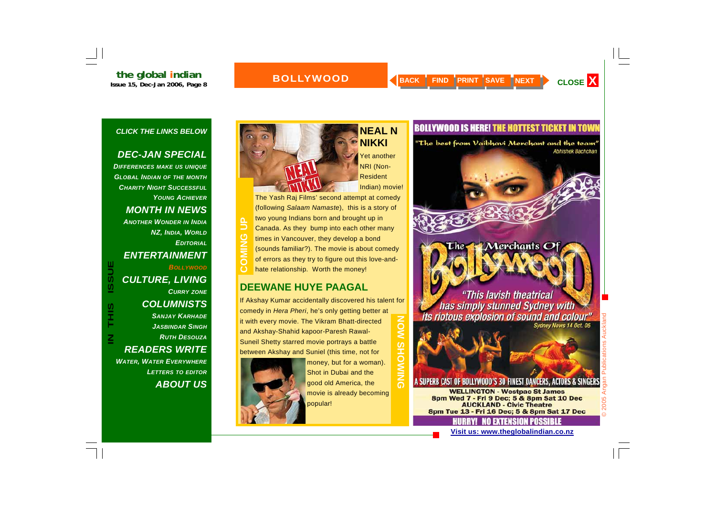## **the global indian**<br>Issue 15, Dec-Jan 2006, Page 8

### **BOLLYWOOD**

**NEAL N** 

Yet another

**NIKKI** 

#### *CLICK THE LINKS BELOW*

#### *DEC-JAN SPECIAL*

*DIFFERENCES MAKE US UNIQUE GLOBAL INDIAN OF THE MONTH CHARITY NIGHT SUCCESSFULYOUNG ACHIEVERMONTH IN NEWS ANOTHER WONDER IN INDIA NZ, INDIA, WORLD EDITORIALENTERTAINMENT BOLLYWOODCULTURE, LIVING CURRY ZONE COLUMNISTS SANJAY KARHADE JASBINDAR SINGHRUTH DESOUZAREADERS WRITE WATER, WATER EVERYWHERE LETTERS TO EDITOR*

**IN THIS ISSUE**

 $\mathsf{\Xi}% _{M_{1},M_{2}}^{\alpha,\beta}(\varepsilon)=\mathsf{\Xi}_{M_{1},M_{2}}^{\alpha,\beta}(\varepsilon)$ 

**ISSUE** 

*ABOUT US*

NRI (Non-Resident Indian) movie! The Yash Raj Films' second attempt at comedy (following *Salaam Namaste*), this is a story of two young Indians born and brought up in Canada. As they bump into each other many times in Vancouver, they develop a bond (sounds familiar?). The movie is about comedy of errors as they try to figure out this love-andhate relationship. Worth the money! **COMING UP** 

### **DEEWANE HUYE PAAGAL**

If Akshay Kumar accidentally discovered his talent for comedy in *Hera Pheri*, he's only getting better at  $\overline{5}$ **NOW SHOWING** it with every movie. The Vikram Bhatt-directed and Akshay-Shahid kapoor-Paresh Rawal-Suneil Shetty starred movie portrays a battle SHO between Akshay and Suniel (this time, not for



money, but for a woman). Shot in Dubai and the good old America, the movie is already becoming popular!

### **BOLLYWOOD IS HERE! THE HOTTEST TICKET IN TOWN**

"The best from Vaibhavi Merchant and the team" **Abhishek Bachchan** 

#### "This lavish theatrical has simply stunned Sydney with its riotous explosion of sound and colour" Sydney News 14 Oct. 05

Merchants Of

#### A SUPERB CAST OF BOLLYWOOD'S 30 FINEST DANCERS, ACTORS & SINGERS

**WELLINGTON - Westpac St James** 8pm Wed 7 - Fri 9 Dec: 5 & 8pm Sat 10 Dec **AUCKLAND - Civic Theatre** 8pm Tue 13 - Fri 16 Dec; 5 & 8pm Sat 17 Dec

**Visit us: www.theglobalindian.co.nz**

NA SKTENSIAN PASSIRIE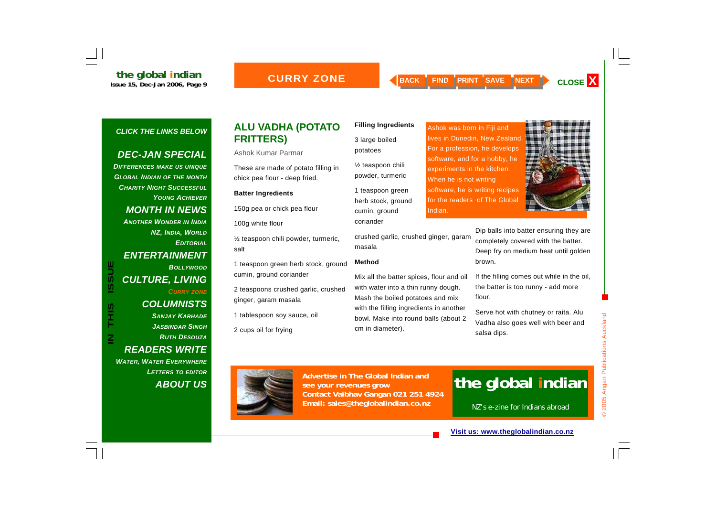### **CURRY ZONE**

Indian.

#### *CLICK THE LINKS BELOW*

#### *DEC-JAN SPECIAL*

*DIFFERENCES MAKE US UNIQUE GLOBAL INDIAN OF THE MONTH CHARITY NIGHT SUCCESSFULYOUNG ACHIEVERMONTH IN NEWS ANOTHER WONDER IN INDIA NZ, INDIA, WORLD EDITORIALENTERTAINMENT*  **ISSUE** *BOLLYWOODCULTURE, LIVING CURRY ZONE COLUMNISTS SANJAY KARHADE JASBINDAR SINGHRUTH DESOUZAREADERS WRITE* 

**IN THIS ISSUE**

S<br>エ<br>ト

 $\overline{\mathsf{z}}$ 

*WATER, WATER EVERYWHERE LETTERS TO EDITOR ABOUT US*

#### **ALU VADHA (POTATO FRITTERS)**

Ashok Kumar Parmar

These are made of potato filling in chick pea flour - deep fried.

#### **Batter Ingredients**

150g pea or chick pea flour

100g white flour

½ teaspoon chili powder, turmeric, salt

1 teaspoon green herb stock, ground cumin, ground coriander

2 teaspoons crushed garlic, crushed ginger, garam masala

1 tablespoon soy sauce, oil

2 cups oil for frying

#### **Filling Ingredients**

3 large boiled potatoes

½ teaspoon chili powder, turmeric

1 teaspoon green herb stock, ground cumin, ground coriander

crushed garlic, crushed ginger, garam masala

#### **Method**

Mix all the batter spices, flour and oil with water into a thin runny dough. Mash the boiled potatoes and mix with the filling ingredients in another bowl. Make into round balls (about 2 cm in diameter).

Ashok was born in Fiji and lives in Dunedin, New Zealand. For a profession, he develops software, and for a hobby, he experiments in the kitchen. When he is not writing software, he is writing recipes for the readers of The Global

> Dip balls into batter ensuring they are completely covered with the batter. Deep fry on medium heat until golden brown.

If the filling comes out while in the oil, the batter is too runny - add more flour.

Serve hot with chutney or raita. Alu Vadha also goes well with beer and



© 2005 Angan Publications Auckland © 2005 Angan Publications Auckland

salsa dips.



**Advertise in The Global Indian and see your revenues grow Contact Vaibhav Gangan 021 251 4924 Email: sales@theglobalindian.co.nz**

## **the global indian**

NZ's e-zine for Indians abroad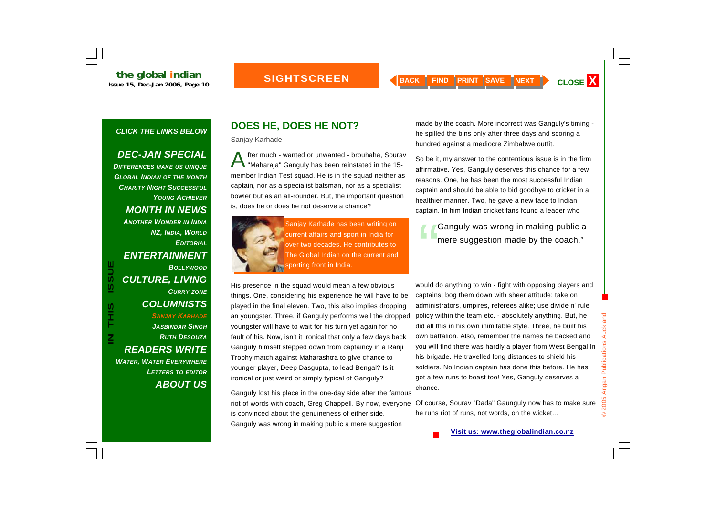## **SIGHTSCREEN**

#### *CLICK THE LINKS BELOW*

#### *DEC-JAN SPECIAL*

*DIFFERENCES MAKE US UNIQUE GLOBAL INDIAN OF THE MONTH CHARITY NIGHT SUCCESSFULYOUNG ACHIEVERMONTH IN NEWS ANOTHER WONDER IN INDIA NZ, INDIA, WORLD EDITORIALENTERTAINMENT BOLLYWOODCULTURE, LIVING CURRY ZONE COLUMNISTS SANJAY KARHADE JASBINDAR SINGHRUTH DESOUZAREADERS WRITE WATER, WATER EVERYWHERE LETTERS TO EDITOR ABOUT US*

**IN THIS ISSUE**

S<br>H<br>H<br>H

 $\overline{\mathsf{z}}$ 

**ISSUE** 

## **DOES HE, DOES HE NOT?**

Sanjay Karhade

After much - wanted or unwanted - brouhaha, Sourav "Maharaja" Ganguly has been reinstated in the 15 member Indian Test squad. He is in the squad neither as captain, nor as a specialist batsman, nor as a specialist bowler but as an all-rounder. But, the important question is, does he or does he not deserve a chance?



Sanjay Karhade has been writing on current affairs and sport in India for over two decades. He contributes to The Global Indian on the current and sporting front in India.

His presence in the squad would mean a few obvious things. One, considering his experience he will have to be played in the final eleven. Two, this also implies dropping an youngster. Three, if Ganguly performs well the dropped youngster will have to wait for his turn yet again for no fault of his. Now, isn't it ironical that only a few days back Ganguly himself stepped down from captaincy in a Ranji Trophy match against Maharashtra to give chance to younger player, Deep Dasgupta, to lead Bengal? Is it ironical or just weird or simply typical of Ganguly?

Ganguly lost his place in the one-day side after the famous riot of words with coach, Greg Chappell. By now, everyone is convinced about the genuineness of either side. Ganguly was wrong in making public a mere suggestion

made by the coach. More incorrect was Ganguly's timing he spilled the bins only after three days and scoring a hundred against a mediocre Zimbabwe outfit.

So be it, my answer to the contentious issue is in the firm affirmative. Yes, Ganguly deserves this chance for a few reasons. One, he has been the most successful Indian captain and should be able to bid goodbye to cricket in a healthier manner. Two, he gave a new face to Indian captain. In him Indian cricket fans found a leader who

Ganguly was wrong in making public a<br>mere suggestion made by the coach."

would do anything to win - fight with opposing players and captains; bog them down with sheer attitude; take on administrators, umpires, referees alike; use divide n' rule policy within the team etc. - absolutely anything. But, he did all this in his own inimitable style. Three, he built his own battalion. Also, remember the names he backed and you will find there was hardly a player from West Bengal in his brigade. He travelled long distances to shield his soldiers. No Indian captain has done this before. He has got a few runs to boast too! Yes, Ganguly deserves a chance.

Of course, Sourav "Dada" Gaunguly now has to make sure he runs riot of runs, not words, on the wicket...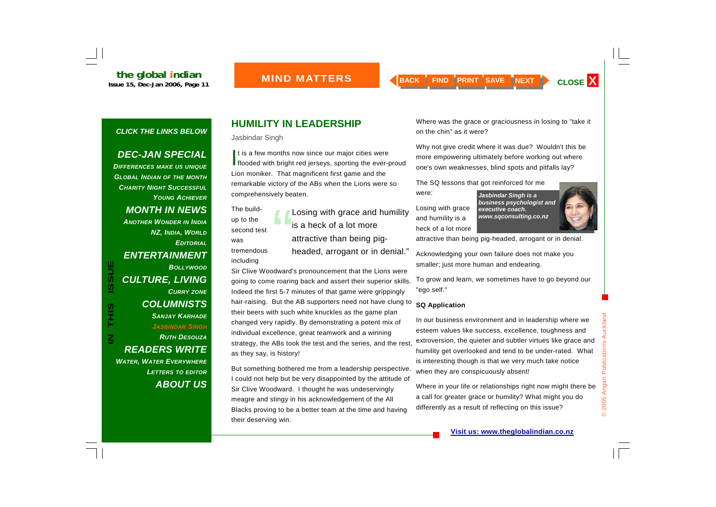### *DEC-JAN SPECIAL*

*DIFFERENCES MAKE US UNIQUE GLOBAL INDIAN OF THE MONTH CHARITY NIGHT SUCCESSFULYOUNG ACHIEVERMONTH IN NEWS ANOTHER WONDER IN INDIA NZ, INDIA, WORLD EDITORIALENTERTAINMENT BOLLYWOODCULTURE, LIVING CURRY ZONE COLUMNISTS SANJAY KARHADE JASBINDAR SINGHRUTH DESOUZAREADERS WRITE WATER, WATER EVERYWHERE LETTERS TO EDITOR ABOUT US*

**IN THIS ISSUE**

S<br>エココン エコン エコン エコン エコン アルファン アルファン しゅうかん しゅうかん しゅうかん しゅうかん しゅうかん しゅうかん しゅうかん しゅうかん しゅうかん しゅうかん しゅうかん しゅうかん しんけい しゅうかん しんけい しんけい しんけい しんけい しんけい しんけい しんしゅん

 $\overline{\mathsf{z}}$ 

**ISSUE** 

## **HUMILITY IN LEADERSHIP**

Jasbindar Singh

It is a few months now since our major cities were<br>flooded with bright red jerseys, sporting the ever-proud Lion moniker. That magnificent first game and the remarkable victory of the ABs when the Lions were so comprehensively beaten.

The buildup to the second test was tremendous including

Losing with grace and humility **Losing with grace and structure** executive coach.<br>
Is a heck of a lot more **the basis of a lot more** attractive than being pigheaded, arrogant or in denial."

Sir Clive Woodward's pronouncement that the Lions were going to come roaring back and assert their superior skills. Indeed the first 5-7 minutes of that game were grippingly hair-raising. But the AB supporters need not have clung to their beers with such white knuckles as the game plan changed very rapidly. By demonstrating a potent mix of individual excellence, great teamwork and a winning strategy, the ABs took the test and the series, and the rest, as they say, is history!

But something bothered me from a leadership perspective. I could not help but be very disappointed by the attitude of Sir Clive Woodward. I thought he was undeservingly meagre and stingy in his acknowledgement of the All Blacks proving to be a better team at the time and having their deserving win.

Where was the grace or graciousness in losing to "take it on the chin" as it were?

Why not give credit where it was due? Wouldn't this be more empowering ultimately before working out where one's own weaknesses, blind spots and pitfalls lay?

The SQ lessons that got reinforced for me were:

Losing with grace and humility is a heck of a lot more



attractive than being pig-headed, arrogant or in denial.

Acknowledging your own failure does not make you smaller; just more human and endearing.

To grow and learn, we sometimes have to go beyond our "ego self."

#### **SQ Application**

In our business environment and in leadership where we esteem values like success, excellence, toughness and extroversion, the quieter and subtler virtues like grace and humility get overlooked and tend to be under-rated. What is interesting though is that we very much take notice when they are conspicuously absent!

Where in your life or relationships right now might there be a call for greater grace or humility? What might you do differently as a result of reflecting on this issue?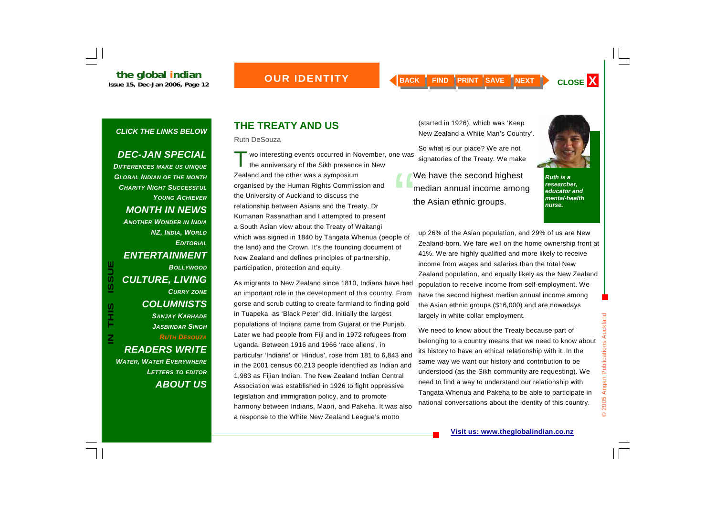## *OUR IDENTITY*

#### *CLICK THE LINKS BELOW*

#### *DEC-JAN SPECIAL*

*DIFFERENCES MAKE US UNIQUE GLOBAL INDIAN OF THE MONTH CHARITY NIGHT SUCCESSFULYOUNG ACHIEVERMONTH IN NEWS ANOTHER WONDER IN INDIA NZ, INDIA, WORLD EDITORIALENTERTAINMENT BOLLYWOODCULTURE, LIVING CURRY ZONE COLUMNISTS SANJAY KARHADE JASBINDAR SINGHRUTH DESOUZAREADERS WRITE WATER, WATER EVERYWHERE LETTERS TO EDITOR*

**IN THIS ISSUE**

S<br>エココン エコン エコン エコン エコン アルファン アルファン しゅうかん しゅうかん しゅうかん しゅうかん しゅうかん しゅうかん しゅうかん しゅうかん しゅうかん しゅうかん しゅうかん しゅうかん しんけい しゅうかん しんけい しんけい しんけい しんけい しんけい しんけい しんしゅん

 $\overline{\mathsf{z}}$ 

**ISSUE** 

*ABOUT US*

## **THE TREATY AND US**

Ruth DeSouza

T wo interesting events occurred in November, one was the anniversary of the Sikh presence in New Zealand and the other was a symposium organised by the Human Rights Commission and the University of Auckland to discuss the relationship between Asians and the Treaty. Dr Kumanan Rasanathan and I attempted to present a South Asian view about the Treaty of Waitangi which was signed in 1840 by Tangata Whenua (people of the land) and the Crown. It's the founding document of New Zealand and defines principles of partnership, participation, protection and equity.

As migrants to New Zealand since 1810, Indians have had an important role in the development of this country. From gorse and scrub cutting to create farmland to finding gold in Tuapeka as 'Black Peter' did. Initially the largest populations of Indians came from Gujarat or the Punjab. Later we had people from Fiji and in 1972 refugees from Uganda. Between 1916 and 1966 'race aliens', in particular 'Indians' or 'Hindus', rose from 181 to 6,843 and in the 2001 census 60,213 people identified as Indian and 1,983 as Fijian Indian. The New Zealand Indian Central Association was established in 1926 to fight oppressive legislation and immigration policy, and to promote harmony between Indians, Maori, and Pakeha. It was also a response to the White New Zealand League's motto

(started in 1926), which was 'Keep New Zealand a White Man's Country'.

So what is our place? We are not signatories of the Treaty. We make

We have the second highest<br>median annual income among the Asian ethnic groups.

*Ruth is a researcher, educator and mental-health* 

up 26% of the Asian population, and 29% of us are New Zealand-born. We fare well on the home ownership front at 41%. We are highly qualified and more likely to receive income from wages and salaries than the total New Zealand population, and equally likely as the New Zealand population to receive income from self-employment. We have the second highest median annual income among the Asian ethnic groups (\$16,000) and are nowadays largely in white-collar employment.

We need to know about the Treaty because part of belonging to a country means that we need to know about its history to have an ethical relationship with it. In the same way we want our history and contribution to be understood (as the Sikh community are requesting). We need to find a way to understand our relationship with Tangata Whenua and Pakeha to be able to participate in national conversations about the identity of this country.

*nurse.*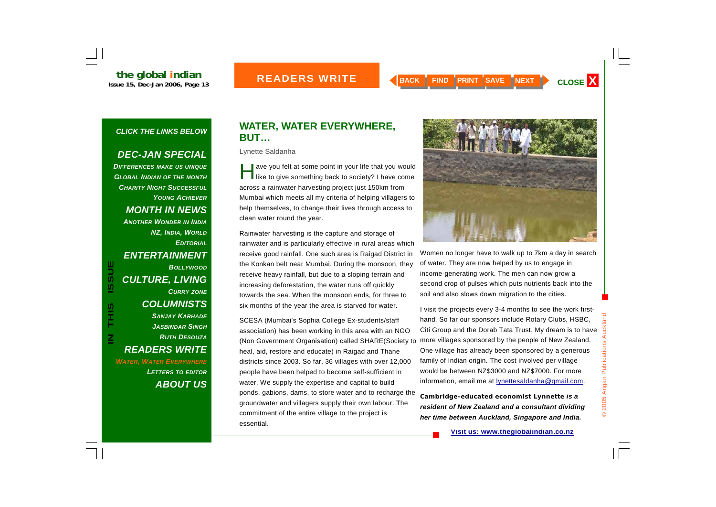#### *DEC-JAN SPECIAL*

*DIFFERENCES MAKE US UNIQUE GLOBAL INDIAN OF THE MONTH CHARITY NIGHT SUCCESSFULYOUNG ACHIEVERMONTH IN NEWS ANOTHER WONDER IN INDIA NZ, INDIA, WORLD EDITORIALENTERTAINMENT BOLLYWOODCULTURE, LIVING CURRY ZONE COLUMNISTS SANJAY KARHADE JASBINDAR SINGHRUTH DESOUZAREADERS WRITE WATER, WATER EVERYWHERE LETTERS TO EDITOR ABOUT US*

**IN THIS ISSUE**

S<br>HH<br>H

 $\overline{\mathsf{z}}$ 

**ISSUE** 

## **WATER, WATER EVERYWHERE, BUT…**

Lynette Saldanha

ave you felt at some point in your life that you would<br>like to give something back to society? I have come across a rainwater harvesting project just 150km from Mumbai which meets all my criteria of helping villagers to help themselves, to change their lives through access to clean water round the year.

Rainwater harvesting is the capture and storage of rainwater and is particularly effective in rural areas which receive good rainfall. One such area is Raigad District in the Konkan belt near Mumbai. During the monsoon, they receive heavy rainfall, but due to a sloping terrain and increasing deforestation, the water runs off quickly towards the sea. When the monsoon ends, for three to six months of the year the area is starved for water.

SCESA (Mumbai's Sophia College Ex-students/staff association) has been working in this area with an NGO (Non Government Organisation) called SHARE(Society to heal, aid, restore and educate) in Raigad and Thane districts since 2003. So far, 36 villages with over 12,000 people have been helped to become self-sufficient in water. We supply the expertise and capital to build ponds, gabions, dams, to store water and to recharge the groundwater and villagers supply their own labour. The commitment of the entire village to the project is essential.



Women no longer have to walk up to 7km a day in search of water. They are now helped by us to engage in income-generating work. The men can now grow a second crop of pulses which puts nutrients back into the soil and also slows down migration to the cities.

I visit the projects every 3-4 months to see the work firsthand. So far our sponsors include Rotary Clubs, HSBC, Citi Group and the Dorab Tata Trust. My dream is to have more villages sponsored by the people of New Zealand. One village has already been sponsored by a generous family of Indian origin. The cost involved per village would be between NZ\$3000 and NZ\$7000. For more information, email me at **lynettesaldanha@gmail.com**.

*Cambridge-educated economist Lynnette is a resident of New Zealand and a consultant dividing her time between Auckland, Singapore and India.*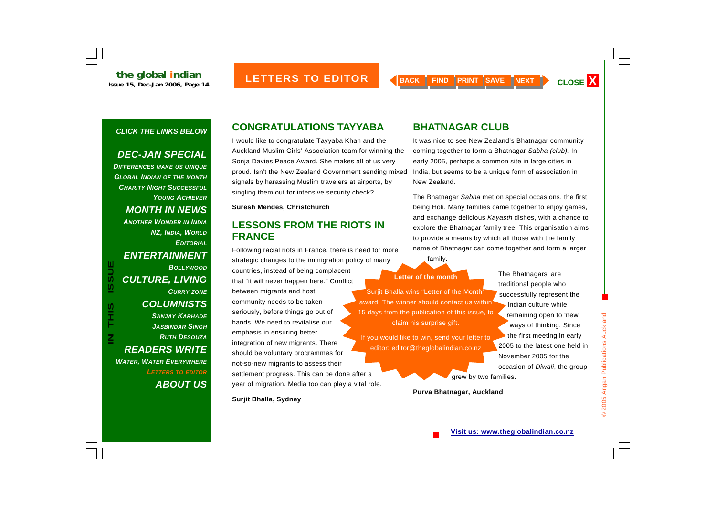#### *DEC-JAN SPECIAL*

*DIFFERENCES MAKE US UNIQUE GLOBAL INDIAN OF THE MONTH CHARITY NIGHT SUCCESSFULYOUNG ACHIEVERMONTH IN NEWS ANOTHER WONDER IN INDIA NZ, INDIA, WORLD EDITORIALENTERTAINMENT BOLLYWOODCULTURE, LIVING CURRY ZONE COLUMNISTS SANJAY KARHADE JASBINDAR SINGHRUTH DESOUZAREADERS WRITE WATER, WATER EVERYWHERE LETTERS TO EDITOR ABOUT US*

## **CONGRATULATIONS TAYYABA**

I would like to congratulate Tayyaba Khan and the Auckland Muslim Girls' Association team for winning the Sonja Davies Peace Award. She makes all of us very proud. Isn't the New Zealand Government sending mixed signals by harassing Muslim travelers at airports, by singling them out for intensive security check?

**Suresh Mendes, Christchurch** 

## **LESSONS FROM THE RIOTS IN FRANCE**

Following racial riots in France, there is need for more strategic changes to the immigration policy of many countries, instead of being complacent that "it will never happen here." Conflict between migrants and host community needs to be taken seriously, before things go out of hands. We need to revitalise our emphasis in ensuring better integration of new migrants. There should be voluntary programmes for not-so-new migrants to assess their settlement progress. This can be done after a year of migration. Media too can play a vital role. BOLLYWOOD<br>
CULTURE, LIVING<br>
CULTURE, LIVING<br>
COLUMNISTS<br>
COLUMNISTS<br>
SANJAY KARHADE<br>
JASBINDAR SINGH<br>
COLUMNISTS<br>
COLUMNISTS<br>
COLUMNISTS<br>
SANJAY KARHADE<br>
SANJAY KARHADE<br>
MORE SANJAY KARHADE<br>
SANJAY KARHADE<br>
MORE SANJAY KAR

**Surjit Bhalla, Sydney** 

## **BHATNAGAR CLUB**

It was nice to see New Zealand's Bhatnagar community coming together to form a Bhatnagar *Sabha (club).* In early 2005, perhaps a common site in large cities in India, but seems to be a unique form of association in New Zealand.

The Bhatnagar *Sabha* met on special occasions, the first being Holi. Many families came together to enjoy games, and exchange delicious *Kayasth* dishes, with a chance to explore the Bhatnagar family tree. This organisation aims to provide a means by which all those with the family name of Bhatnagar can come together and form a larger

family.

editor: editor@theglobalindian.co.nz

The Bhatnagars' are traditional people who successfully represent the Indian culture while remaining open to 'new ways of thinking. Since the first meeting in early 2005 to the latest one held in November 2005 for the occasion of *Diwali*, the group

grew by two families.

**Purva Bhatnagar, Auckland**